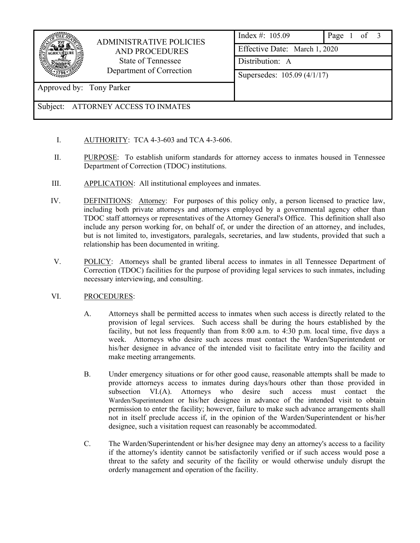|                                     | <b>ADMINISTRATIVE POLICIES</b><br><b>AND PROCEDURES</b><br>State of Tennessee<br>Department of Correction | Index #: $105.09$             | Page 1 of 3 |  |
|-------------------------------------|-----------------------------------------------------------------------------------------------------------|-------------------------------|-------------|--|
|                                     |                                                                                                           | Effective Date: March 1, 2020 |             |  |
|                                     |                                                                                                           | Distribution: A               |             |  |
|                                     |                                                                                                           | Supersedes: 105.09 (4/1/17)   |             |  |
| Approved by: Tony Parker            |                                                                                                           |                               |             |  |
| Subject: ATTORNEY ACCESS TO INMATES |                                                                                                           |                               |             |  |

- I. AUTHORITY: TCA 4-3-603 and TCA 4-3-606.
- II. PURPOSE: To establish uniform standards for attorney access to inmates housed in Tennessee Department of Correction (TDOC) institutions.
- III. APPLICATION: All institutional employees and inmates.
- IV. DEFINITIONS: Attorney: For purposes of this policy only, a person licensed to practice law, including both private attorneys and attorneys employed by a governmental agency other than TDOC staff attorneys or representatives of the Attorney General's Office. This definition shall also include any person working for, on behalf of, or under the direction of an attorney, and includes, but is not limited to, investigators, paralegals, secretaries, and law students, provided that such a relationship has been documented in writing.
- V. POLICY: Attorneys shall be granted liberal access to inmates in all Tennessee Department of Correction (TDOC) facilities for the purpose of providing legal services to such inmates, including necessary interviewing, and consulting.

## VI. PROCEDURES:

- A. Attorneys shall be permitted access to inmates when such access is directly related to the provision of legal services. Such access shall be during the hours established by the facility, but not less frequently than from 8:00 a.m. to 4:30 p.m. local time, five days a week. Attorneys who desire such access must contact the Warden/Superintendent or his/her designee in advance of the intended visit to facilitate entry into the facility and make meeting arrangements.
- B. Under emergency situations or for other good cause, reasonable attempts shall be made to provide attorneys access to inmates during days/hours other than those provided in subsection VI.(A). Attorneys who desire such access must contact the Warden/Superintendent or his/her designee in advance of the intended visit to obtain permission to enter the facility; however, failure to make such advance arrangements shall not in itself preclude access if, in the opinion of the Warden/Superintendent or his/her designee, such a visitation request can reasonably be accommodated.
- C. The Warden/Superintendent or his/her designee may deny an attorney's access to a facility if the attorney's identity cannot be satisfactorily verified or if such access would pose a threat to the safety and security of the facility or would otherwise unduly disrupt the orderly management and operation of the facility.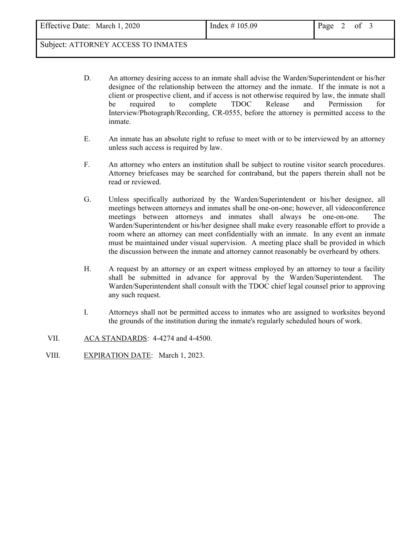## Subject: ATTORNEY ACCESS TO INMATES

- D. An attorney desiring access to an inmate shall advise the Warden/Superintendent or his/her designee of the relationship between the attorney and the inmate. If the inmate is not a client or prospective client, and if access is not otherwise required by law, the inmate shall be required to complete TDOC Release and Permission for Interview/Photograph/Recording, CR-0555, before the attorney is permitted access to the inmate.
- E. An inmate has an absolute right to refuse to meet with or to be interviewed by an attorney unless such access is required by law.
- F. An attorney who enters an institution shall be subject to routine visitor search procedures. Attorney briefcases may be searched for contraband, but the papers therein shall not be read or reviewed.
- G. Unless specifically authorized by the Warden/Superintendent or his/her designee, all meetings between attorneys and inmates shall be one-on-one; however, all videoconference meetings between attorneys and inmates shall always be one-on-one. The Warden/Superintendent or his/her designee shall make every reasonable effort to provide a room where an attorney can meet confidentially with an inmate. In any event an inmate must be maintained under visual supervision. A meeting place shall be provided in which the discussion between the inmate and attorney cannot reasonably be overheard by others.
- H. A request by an attorney or an expert witness employed by an attorney to tour a facility shall be submitted in advance for approval by the Warden/Superintendent. The Warden/Superintendent shall consult with the TDOC chief legal counsel prior to approving any such request.
- I. Attorneys shall not be permitted access to inmates who are assigned to worksites beyond the grounds of the institution during the inmate's regularly scheduled hours of work.
- VII. ACA STANDARDS: 4-4274 and 4-4500.
- VIII. EXPIRATION DATE: March 1, 2023.